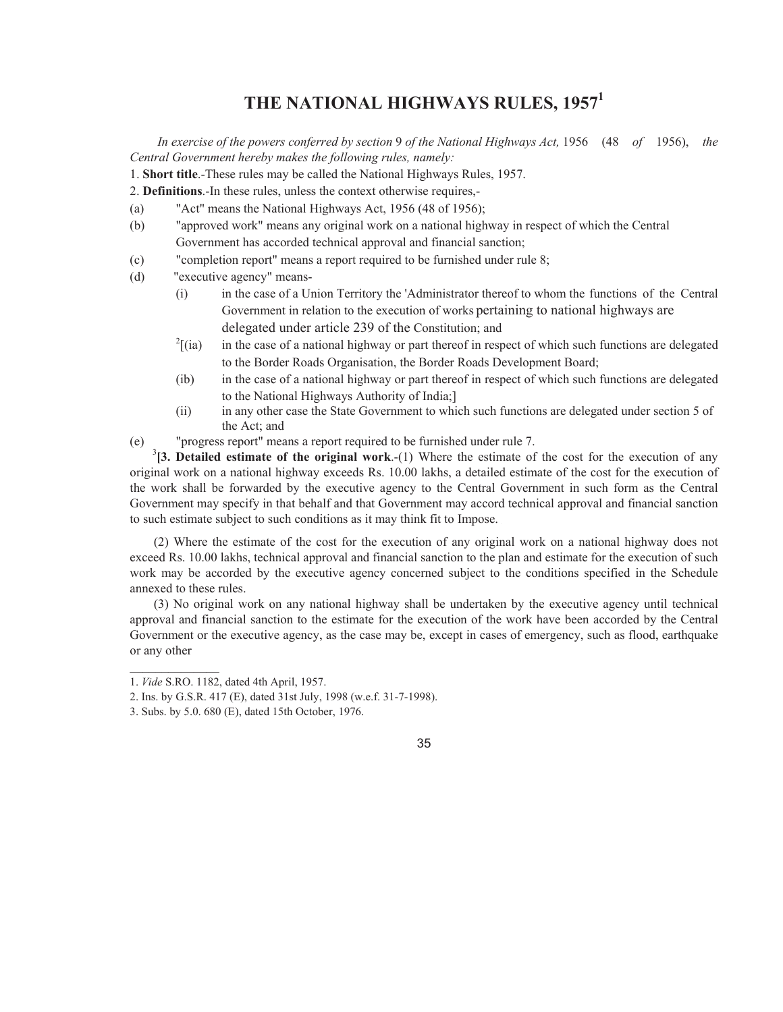# **THE NATIONAL HIGHWAYS RULES, 1957<sup>1</sup>**

*In exercise of the powers conferred by section* 9 *of the National Highways Act,* 1956 (48 *of* 1956), *the Central Government hereby makes the following rules, namely:* 

1. **Short title**.-These rules may be called the National Highways Rules, 1957.

2. **Definitions**.-In these rules, unless the context otherwise requires,-

- (a) "Act" means the National Highways Act, 1956 (48 of 1956);
- (b) "approved work" means any original work on a national highway in respect of which the Central Government has accorded technical approval and financial sanction;
- (c) "completion report" means a report required to be furnished under rule 8;
- (d) "executive agency" means-
	- (i) in the case of a Union Territory the 'Administrator thereof to whom the functions of the Central Government in relation to the execution of works pertaining to national highways are delegated under article 239 of the Constitution; and
	- $\frac{2}{(ia)}$ [(ia) in the case of a national highway or part thereof in respect of which such functions are delegated to the Border Roads Organisation, the Border Roads Development Board;
	- (ib) in the case of a national highway or part thereof in respect of which such functions are delegated to the National Highways Authority of India;]
	- (ii) in any other case the State Government to which such functions are delegated under section 5 of the Act; and

(e) "progress report" means a report required to be furnished under rule 7.

 $3$ [3. Detailed estimate of the original work.-(1) Where the estimate of the cost for the execution of any original work on a national highway exceeds Rs. 10.00 lakhs, a detailed estimate of the cost for the execution of the work shall be forwarded by the executive agency to the Central Government in such form as the Central Government may specify in that behalf and that Government may accord technical approval and financial sanction to such estimate subject to such conditions as it may think fit to Impose.

(2) Where the estimate of the cost for the execution of any original work on a national highway does not exceed Rs. 10.00 lakhs, technical approval and financial sanction to the plan and estimate for the execution of such work may be accorded by the executive agency concerned subject to the conditions specified in the Schedule annexed to these rules.

(3) No original work on any national highway shall be undertaken by the executive agency until technical approval and financial sanction to the estimate for the execution of the work have been accorded by the Central Government or the executive agency, as the case may be, except in cases of emergency, such as flood, earthquake or any other



<sup>1.</sup> *Vide* S.RO. 1182, dated 4th April, 1957.

<sup>2.</sup> Ins. by G.S.R. 417 (E), dated 31st July, 1998 (w.e.f. 31-7-1998).

<sup>3.</sup> Subs. by 5.0. 680 (E), dated 15th October, 1976.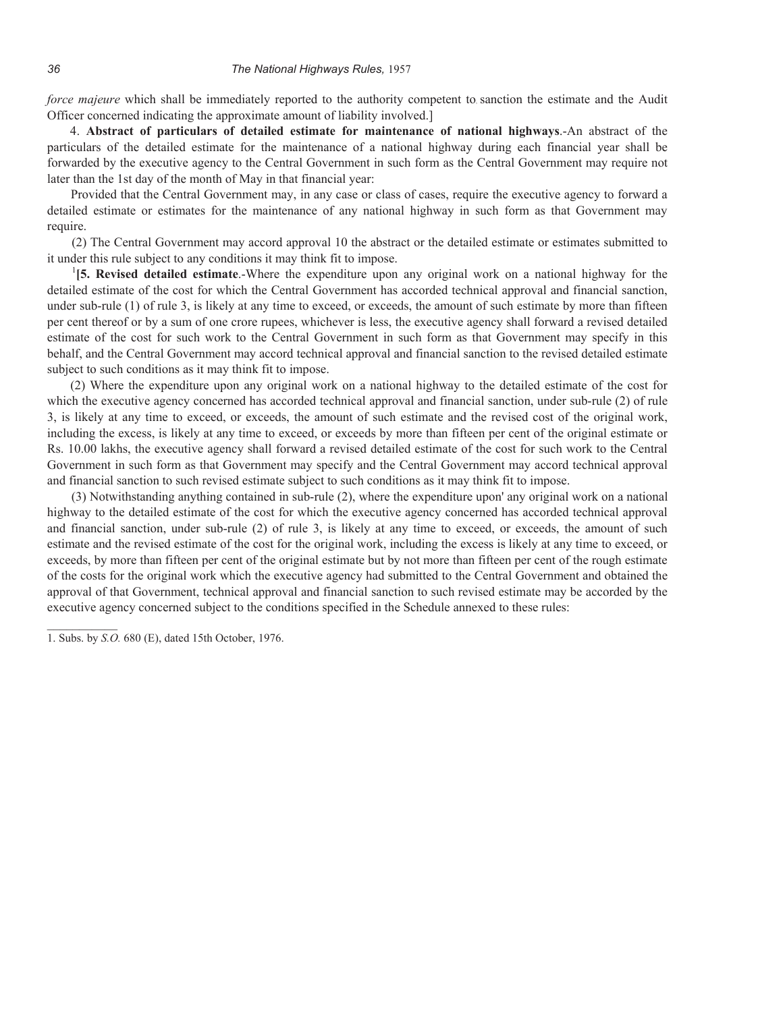*force majeure* which shall be immediately reported to the authority competent to sanction the estimate and the Audit Officer concerned indicating the approximate amount of liability involved.]

4. **Abstract of particulars of detailed estimate for maintenance of national highways**.-An abstract of the particulars of the detailed estimate for the maintenance of a national highway during each financial year shall be forwarded by the executive agency to the Central Government in such form as the Central Government may require not later than the 1st day of the month of May in that financial year:

Provided that the Central Government may, in any case or class of cases, require the executive agency to forward a detailed estimate or estimates for the maintenance of any national highway in such form as that Government may require.

(2) The Central Government may accord approval 10 the abstract or the detailed estimate or estimates submitted to it under this rule subject to any conditions it may think fit to impose.

<sup>1</sup>[5. Revised detailed estimate.-Where the expenditure upon any original work on a national highway for the detailed estimate of the cost for which the Central Government has accorded technical approval and financial sanction, under sub-rule (1) of rule 3, is likely at any time to exceed, or exceeds, the amount of such estimate by more than fifteen per cent thereof or by a sum of one crore rupees, whichever is less, the executive agency shall forward a revised detailed estimate of the cost for such work to the Central Government in such form as that Government may specify in this behalf, and the Central Government may accord technical approval and financial sanction to the revised detailed estimate subject to such conditions as it may think fit to impose.

(2) Where the expenditure upon any original work on a national highway to the detailed estimate of the cost for which the executive agency concerned has accorded technical approval and financial sanction, under sub-rule (2) of rule 3, is likely at any time to exceed, or exceeds, the amount of such estimate and the revised cost of the original work, including the excess, is likely at any time to exceed, or exceeds by more than fifteen per cent of the original estimate or Rs. 10.00 lakhs, the executive agency shall forward a revised detailed estimate of the cost for such work to the Central Government in such form as that Government may specify and the Central Government may accord technical approval and financial sanction to such revised estimate subject to such conditions as it may think fit to impose.

(3) Notwithstanding anything contained in sub-rule (2), where the expenditure upon' any original work on a national highway to the detailed estimate of the cost for which the executive agency concerned has accorded technical approval and financial sanction, under sub-rule (2) of rule 3, is likely at any time to exceed, or exceeds, the amount of such estimate and the revised estimate of the cost for the original work, including the excess is likely at any time to exceed, or exceeds, by more than fifteen per cent of the original estimate but by not more than fifteen per cent of the rough estimate of the costs for the original work which the executive agency had submitted to the Central Government and obtained the approval of that Government, technical approval and financial sanction to such revised estimate may be accorded by the executive agency concerned subject to the conditions specified in the Schedule annexed to these rules:

<sup>1.</sup> Subs. by *S.O.* 680 (E), dated 15th October, 1976.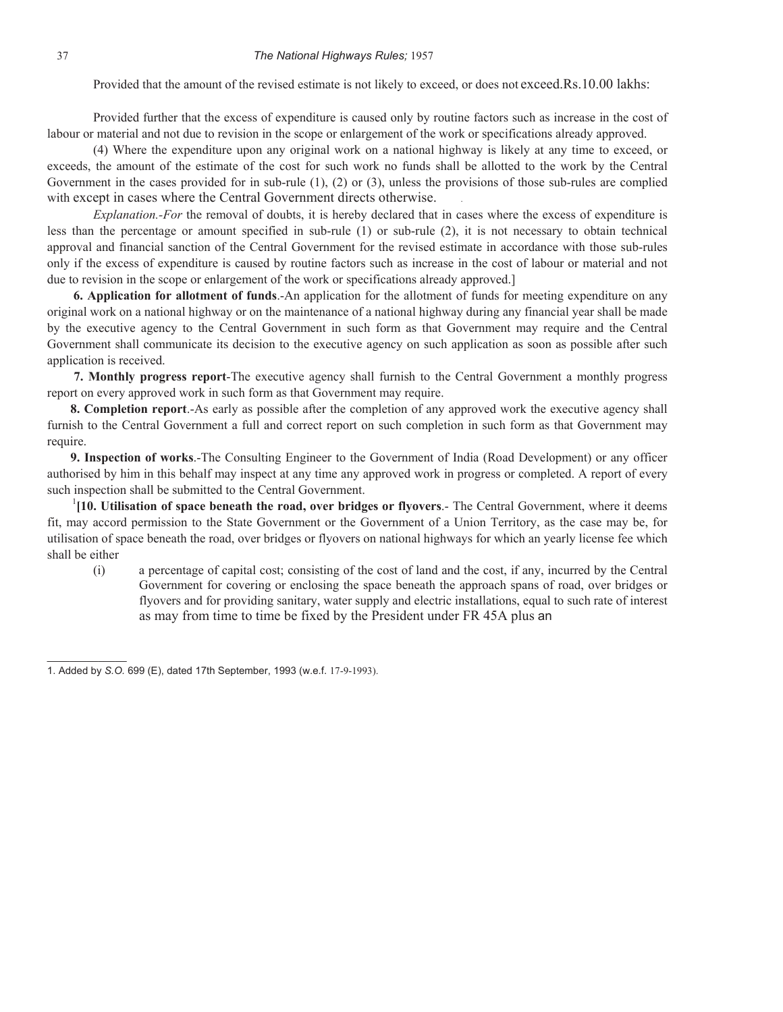Provided that the amount of the revised estimate is not likely to exceed, or does not exceed.Rs.10.00 lakhs:

 Provided further that the excess of expenditure is caused only by routine factors such as increase in the cost of labour or material and not due to revision in the scope or enlargement of the work or specifications already approved.

(4) Where the expenditure upon any original work on a national highway is likely at any time to exceed, or exceeds, the amount of the estimate of the cost for such work no funds shall be allotted to the work by the Central Government in the cases provided for in sub-rule (1), (2) or (3), unless the provisions of those sub-rules are complied with except in cases where the Central Government directs otherwise.

*Explanation.-For* the removal of doubts, it is hereby declared that in cases where the excess of expenditure is less than the percentage or amount specified in sub-rule (1) or sub-rule (2), it is not necessary to obtain technical approval and financial sanction of the Central Government for the revised estimate in accordance with those sub-rules only if the excess of expenditure is caused by routine factors such as increase in the cost of labour or material and not due to revision in the scope or enlargement of the work or specifications already approved.]

**6. Application for allotment of funds**.-An application for the allotment of funds for meeting expenditure on any original work on a national highway or on the maintenance of a national highway during any financial year shall be made by the executive agency to the Central Government in such form as that Government may require and the Central Government shall communicate its decision to the executive agency on such application as soon as possible after such application is received.

**7. Monthly progress report**-The executive agency shall furnish to the Central Government a monthly progress report on every approved work in such form as that Government may require.

**8. Completion report**.-As early as possible after the completion of any approved work the executive agency shall furnish to the Central Government a full and correct report on such completion in such form as that Government may require.

**9. Inspection of works**.-The Consulting Engineer to the Government of India (Road Development) or any officer authorised by him in this behalf may inspect at any time any approved work in progress or completed. A report of every such inspection shall be submitted to the Central Government.

<sup>1</sup>[10. Utilisation of space beneath the road, over bridges or flyovers.- The Central Government, where it deems fit, may accord permission to the State Government or the Government of a Union Territory, as the case may be, for utilisation of space beneath the road, over bridges or flyovers on national highways for which an yearly license fee which shall be either

 (i) a percentage of capital cost; consisting of the cost of land and the cost, if any, incurred by the Central Government for covering or enclosing the space beneath the approach spans of road, over bridges or flyovers and for providing sanitary, water supply and electric installations, equal to such rate of interest as may from time to time be fixed by the President under FR 45A plus an

 $\mathcal{L}$  and  $\mathcal{L}$  and  $\mathcal{L}$ 

<sup>1.</sup> Added by *S.O.* 699 (E), dated 17th September, 1993 (w.e.f. 17-9-1993).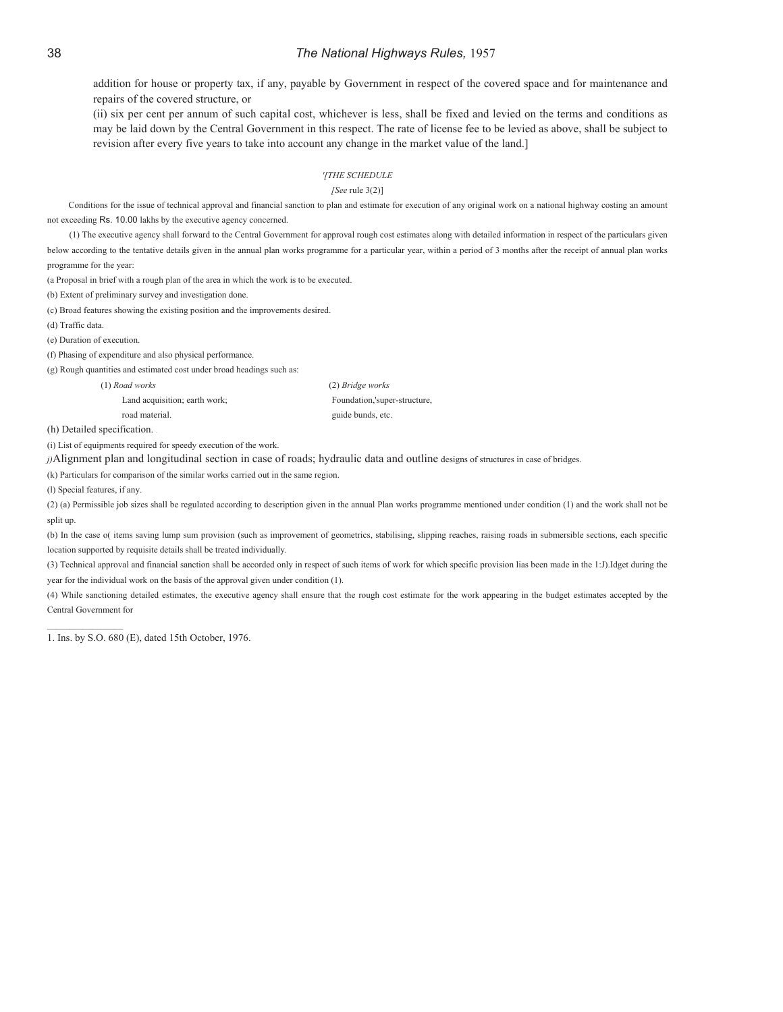addition for house or property tax, if any, payable by Government in respect of the covered space and for maintenance and repairs of the covered structure, or

(ii) six per cent per annum of such capital cost, whichever is less, shall be fixed and levied on the terms and conditions as may be laid down by the Central Government in this respect. The rate of license fee to be levied as above, shall be subject to revision after every five years to take into account any change in the market value of the land.]

#### *'[THE SCHEDULE*

*[See* rule 3(2)]

Conditions for the issue of technical approval and financial sanction to plan and estimate for execution of any original work on a national highway costing an amount not exceeding Rs. 10.00 lakhs by the executive agency concerned.

(1) The executive agency shall forward to the Central Government for approval rough cost estimates along with detailed information in respect of the particulars given below according to the tentative details given in the annual plan works programme for a particular year, within a period of 3 months after the receipt of annual plan works programme for the year:

(a Proposal in brief with a rough plan of the area in which the work is to be executed.

(b) Extent of preliminary survey and investigation done.

(c) Broad features showing the existing position and the improvements desired.

(d) Traffic data.

(e) Duration of execution.

(f) Phasing of expenditure and also physical performance.

(g) Rough quantities and estimated cost under broad headings such as:

Land acquisition; earth work; Foundation,'super-structure, road material.  $\qquad \qquad$  guide bunds, etc.

(1) *Road works* (2) *Bridge works* 

(h) Detailed specification. .

(i) List of equipments required for speedy execution of the work.

*j)*Alignment plan and longitudinal section in case of roads; hydraulic data and outline designs of structures in case of bridges.

(k) Particulars for comparison of the similar works carried out in the same region.

(l) Special features, if any.

 $\_$ 

(2) (a) Permissible job sizes shall be regulated according to description given in the annual Plan works programme mentioned under condition (1) and the work shall not be split up.

(b) In the case o( items saving lump sum provision (such as improvement of geometrics, stabilising, slipping reaches, raising roads in submersible sections, each specific location supported by requisite details shall be treated individually.

(3) Technical approval and financial sanction shall be accorded only in respect of such items of work for which specific provision lias been made in the 1:J).Idget during the year for the individual work on the basis of the approval given under condition (1).

(4) While sanctioning detailed estimates, the executive agency shall ensure that the rough cost estimate for the work appearing in the budget estimates accepted by the Central Government for

1. Ins. by S.O. 680 (E), dated 15th October, 1976.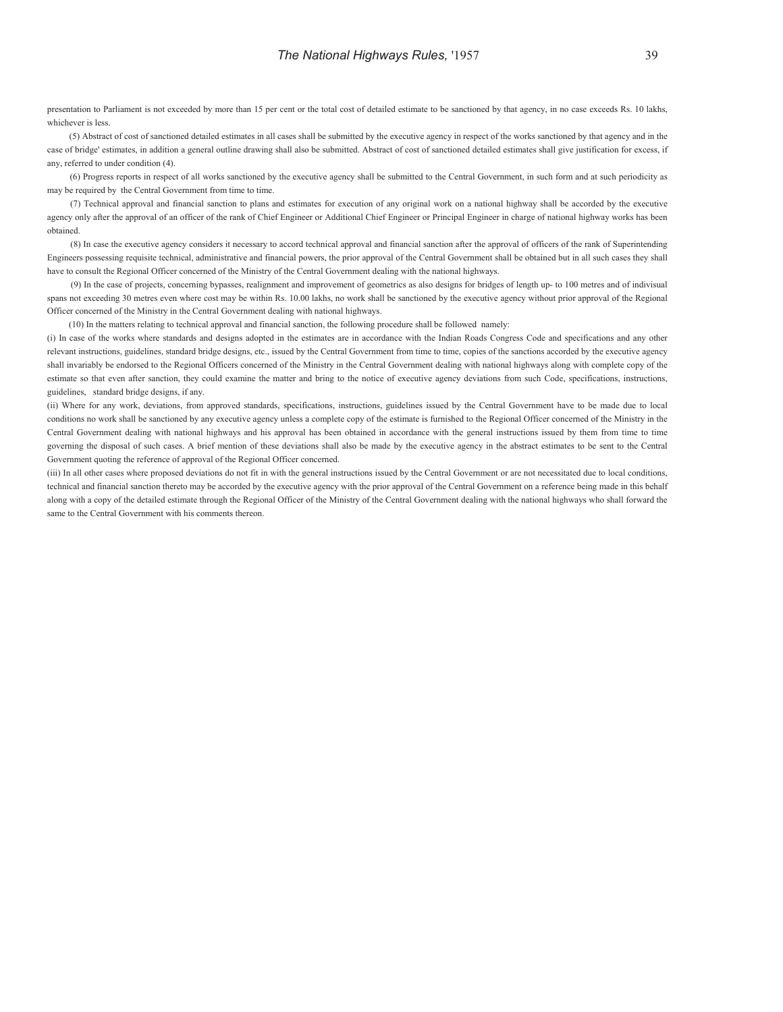presentation to Parliament is not exceeded by more than 15 per cent or the total cost of detailed estimate to be sanctioned by that agency, in no case exceeds Rs. 10 lakhs, whichever is less.

(5) Abstract of cost of sanctioned detailed estimates in all cases shall be submitted by the executive agency in respect of the works sanctioned by that agency and in the case of bridge' estimates, in addition a general outline drawing shall also be submitted. Abstract of cost of sanctioned detailed estimates shall give justification for excess, if any, referred to under condition (4).

(6) Progress reports in respect of all works sanctioned by the executive agency shall be submitted to the Central Government, in such form and at such periodicity as may be required by the Central Government from time to time.

(7) Technical approval and financial sanction to plans and estimates for execution of any original work on a national highway shall be accorded by the executive agency only after the approval of an officer of the rank of Chief Engineer or Additional Chief Engineer or Principal Engineer in charge of national highway works has been obtained.

(8) In case the executive agency considers it necessary to accord technical approval and financial sanction after the approval of officers of the rank of Superintending Engineers possessing requisite technical, administrative and financial powers, the prior approval of the Central Government shall be obtained but in all such cases they shall have to consult the Regional Officer concerned of the Ministry of the Central Government dealing with the national highways.

(9) In the case of projects, concerning bypasses, realignment and improvement of geometrics as also designs for bridges of length up- to 100 metres and of indivisual spans not exceeding 30 metres even where cost may be within Rs. 10.00 lakhs, no work shall be sanctioned by the executive agency without prior approval of the Regional Officer concerned of the Ministry in the Central Government dealing with national highways.

(10) In the matters relating to technical approval and financial sanction, the following procedure shall be followed namely:

 (i) In case of the works where standards and designs adopted in the estimates are in accordance with the Indian Roads Congress Code and specifications and any other relevant instructions, guidelines, standard bridge designs, etc., issued by the Central Government from time to time, copies of the sanctions accorded by the executive agency shall invariably be endorsed to the Regional Officers concerned of the Ministry in the Central Government dealing with national highways along with complete copy of the estimate so that even after sanction, they could examine the matter and bring to the notice of executive agency deviations from such Code, specifications, instructions, guidelines, standard bridge designs, if any.

 (ii) Where for any work, deviations, from approved standards, specifications, instructions, guidelines issued by the Central Government have to be made due to local conditions no work shall be sanctioned by any executive agency unless a complete copy of the estimate is furnished to the Regional Officer concerned of the Ministry in the Central Government dealing with national highways and his approval has been obtained in accordance with the general instructions issued by them from time to time governing the disposal of such cases. A brief mention of these deviations shall also be made by the executive agency in the abstract estimates to be sent to the Central Government quoting the reference of approval of the Regional Officer concerned.

 (iii) In all other cases where proposed deviations do not fit in with the general instructions issued by the Central Government or are not necessitated due to local conditions, technical and financial sanction thereto may be accorded by the executive agency with the prior approval of the Central Government on a reference being made in this behalf along with a copy of the detailed estimate through the Regional Officer of the Ministry of the Central Government dealing with the national highways who shall forward the same to the Central Government with his comments thereon.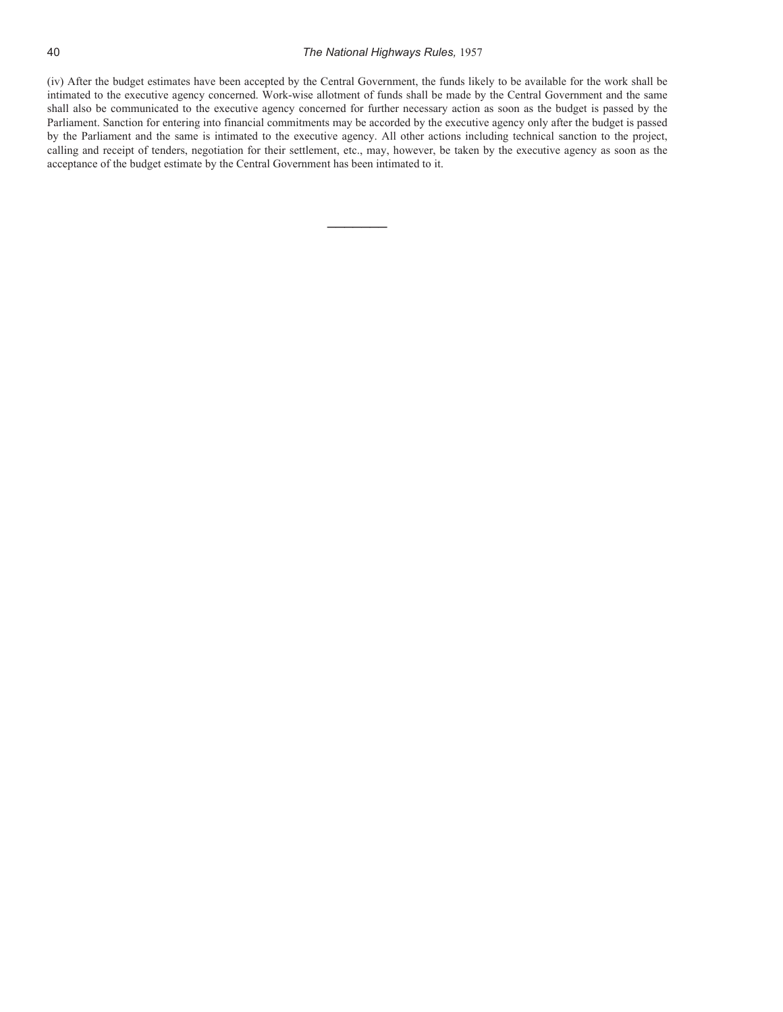(iv) After the budget estimates have been accepted by the Central Government, the funds likely to be available for the work shall be intimated to the executive agency concerned. Work-wise allotment of funds shall be made by the Central Government and the same shall also be communicated to the executive agency concerned for further necessary action as soon as the budget is passed by the Parliament. Sanction for entering into financial commitments may be accorded by the executive agency only after the budget is passed by the Parliament and the same is intimated to the executive agency. All other actions including technical sanction to the project, calling and receipt of tenders, negotiation for their settlement, etc., may, however, be taken by the executive agency as soon as the acceptance of the budget estimate by the Central Government has been intimated to it.

 $\overline{\phantom{a}}$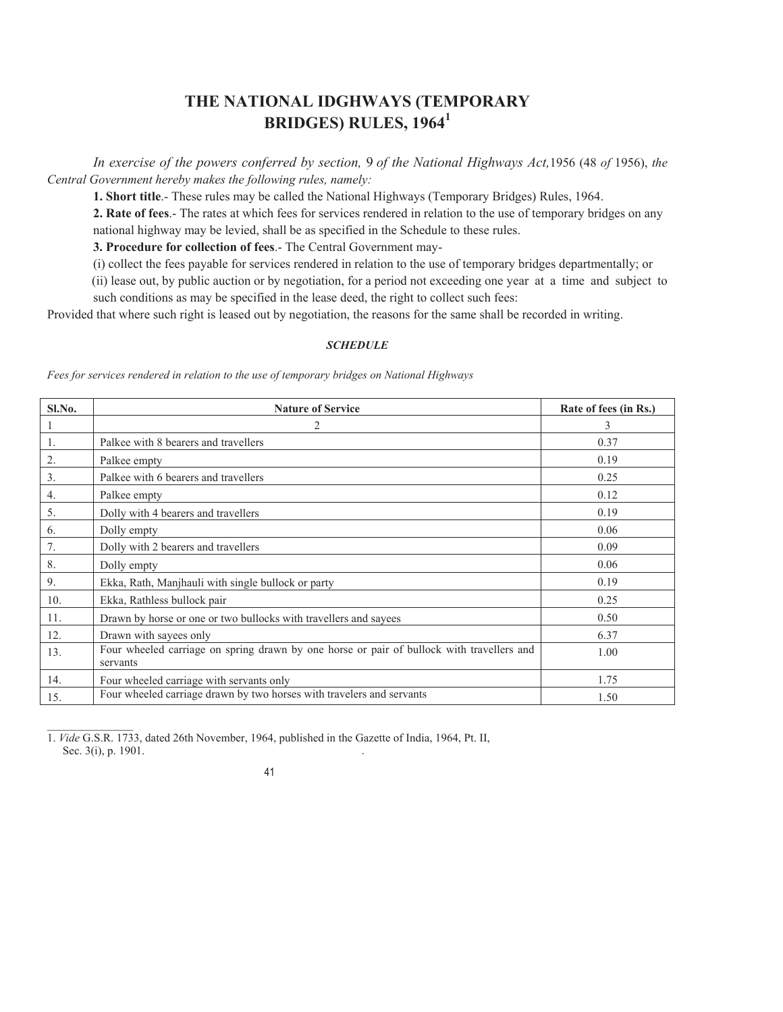# **THE NATIONAL IDGHWAYS (TEMPORARY BRIDGES) RULES, 1964<sup>1</sup>**

 *In exercise of the powers conferred by section,* 9 *of the National Highways Act,*1956 (48 *of* 1956), *the Central Government hereby makes the following rules, namely:* 

**1. Short title**.- These rules may be called the National Highways (Temporary Bridges) Rules, 1964.

**2. Rate of fees**.- The rates at which fees for services rendered in relation to the use of temporary bridges on any national highway may be levied, shall be as specified in the Schedule to these rules.

**3. Procedure for collection of fees**.- The Central Government may-

(i) collect the fees payable for services rendered in relation to the use of temporary bridges departmentally; or

 (ii) lease out, by public auction or by negotiation, for a period not exceeding one year at a time and subject to such conditions as may be specified in the lease deed, the right to collect such fees:

Provided that where such right is leased out by negotiation, the reasons for the same shall be recorded in writing.

#### *SCHEDULE*

*Fees for services rendered in relation to the use of temporary bridges on National Highways* 

| Sl.No.       | <b>Nature of Service</b>                                                                              | Rate of fees (in Rs.) |
|--------------|-------------------------------------------------------------------------------------------------------|-----------------------|
| $\mathbf{1}$ | 2                                                                                                     | 3                     |
| -1.          | Palkee with 8 bearers and travellers                                                                  | 0.37                  |
| 2.           | Palkee empty                                                                                          | 0.19                  |
| 3.           | Palkee with 6 bearers and travellers                                                                  | 0.25                  |
| 4.           | Palkee empty                                                                                          | 0.12                  |
| 5.           | Dolly with 4 bearers and travellers                                                                   | 0.19                  |
| 6.           | Dolly empty                                                                                           | 0.06                  |
| 7.           | Dolly with 2 bearers and travellers                                                                   | 0.09                  |
| 8.           | Dolly empty                                                                                           | 0.06                  |
| 9.           | Ekka, Rath, Manjhauli with single bullock or party                                                    | 0.19                  |
| 10.          | Ekka, Rathless bullock pair                                                                           | 0.25                  |
| 11.          | Drawn by horse or one or two bullocks with travellers and sayees                                      | 0.50                  |
| 12.          | Drawn with sayees only                                                                                | 6.37                  |
| 13.          | Four wheeled carriage on spring drawn by one horse or pair of bullock with travellers and<br>servants | 1.00                  |
| 14.          | Four wheeled carriage with servants only                                                              | 1.75                  |
| 15.          | Four wheeled carriage drawn by two horses with travelers and servants                                 | 1.50                  |

 $\frac{1}{2}$ 1. *Vide* G.S.R. 1733, dated 26th November, 1964, published in the Gazette of India, 1964, Pt. II, Sec. 3(i), p. 1901.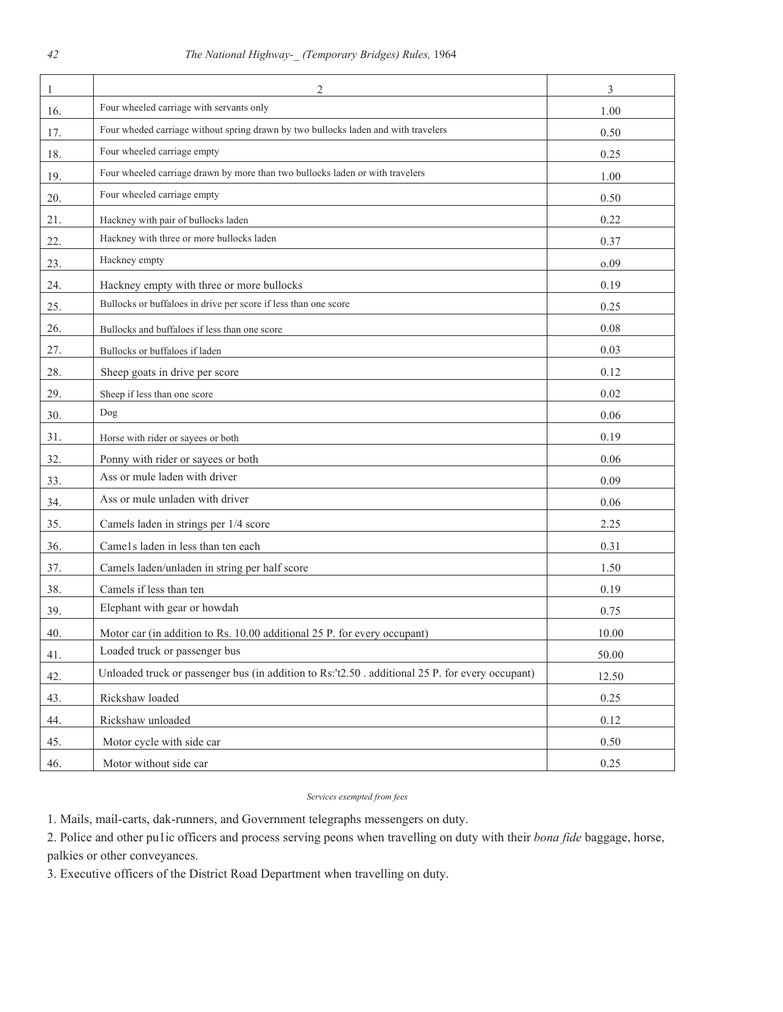| $\mathbf{1}$ | 2                                                                                                | 3     |
|--------------|--------------------------------------------------------------------------------------------------|-------|
| 16.          | Four wheeled carriage with servants only                                                         | 1.00  |
| 17.          | Four wheded carriage without spring drawn by two bullocks laden and with travelers               | 0.50  |
| 18.          | Four wheeled carriage empty                                                                      | 0.25  |
| 19.          | Four wheeled carriage drawn by more than two bullocks laden or with travelers                    | 1.00  |
| 20.          | Four wheeled carriage empty                                                                      | 0.50  |
| 21.          | Hackney with pair of bullocks laden                                                              | 0.22  |
| 22.          | Hackney with three or more bullocks laden                                                        | 0.37  |
| 23.          | Hackney empty                                                                                    | 0.09  |
| 24.          | Hackney empty with three or more bullocks                                                        | 0.19  |
| 25.          | Bullocks or buffaloes in drive per score if less than one score                                  | 0.25  |
| 26.          | Bullocks and buffaloes if less than one score                                                    | 0.08  |
| 27.          | Bullocks or buffaloes if laden                                                                   | 0.03  |
| 28.          | Sheep goats in drive per score                                                                   | 0.12  |
| 29.          | Sheep if less than one score                                                                     | 0.02  |
| 30.          | Dog                                                                                              | 0.06  |
| 31.          | Horse with rider or sayees or both                                                               | 0.19  |
| 32.          | Ponny with rider or sayees or both                                                               | 0.06  |
| 33.          | Ass or mule laden with driver                                                                    | 0.09  |
| 34.          | Ass or mule unladen with driver                                                                  | 0.06  |
| 35.          | Camels laden in strings per 1/4 score                                                            | 2.25  |
| 36.          | Came1s laden in less than ten each                                                               | 0.31  |
| 37.          | Camels laden/unladen in string per half score                                                    | 1.50  |
| 38.          | Camels if less than ten                                                                          | 0.19  |
| 39.          | Elephant with gear or howdah                                                                     | 0.75  |
| 40.          | Motor car (in addition to Rs. 10.00 additional 25 P. for every occupant)                         | 10.00 |
| 41.          | Loaded truck or passenger bus                                                                    | 50.00 |
| 42.          | Unloaded truck or passenger bus (in addition to Rs:'t2.50 . additional 25 P. for every occupant) | 12.50 |
| 43.          | Rickshaw loaded                                                                                  | 0.25  |
| 44.          | Rickshaw unloaded                                                                                | 0.12  |
| 45.          | Motor cycle with side car                                                                        | 0.50  |
| 46.          | Motor without side car                                                                           | 0.25  |

*Services exempted from fees* 

1. Mails, mail-carts, dak-runners, and Government telegraphs messengers on duty.

2. Police and other pu1ic officers and process serving peons when travelling on duty with their *bona fide* baggage, horse, palkies or other conveyances.

3. Executive officers of the District Road Department when travelling on duty.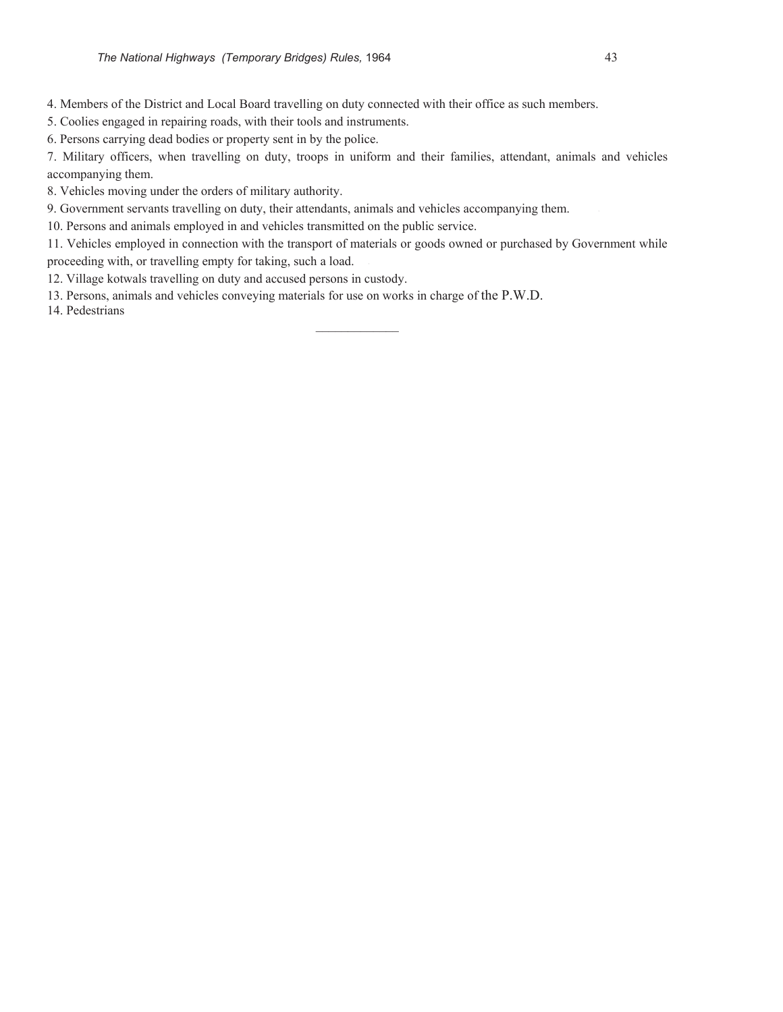4. Members of the District and Local Board travelling on duty connected with their office as such members.

5. Coolies engaged in repairing roads, with their tools and instruments.

6. Persons carrying dead bodies or property sent in by the police.

7. Military officers, when travelling on duty, troops in uniform and their families, attendant, animals and vehicles accompanying them.

8. Vehicles moving under the orders of military authority.

9. Government servants travelling on duty, their attendants, animals and vehicles accompanying them. '

10. Persons and animals employed in and vehicles transmitted on the public service.

11. Vehicles employed in connection with the transport of materials or goods owned or purchased by Government while proceeding with, or travelling empty for taking, such a load. '

 $\mathcal{L}$  and  $\mathcal{L}$  and  $\mathcal{L}$ 

12. Village kotwals travelling on duty and accused persons in custody.

13. Persons, animals and vehicles conveying materials for use on works in charge of the P.W.D.

14. Pedestrians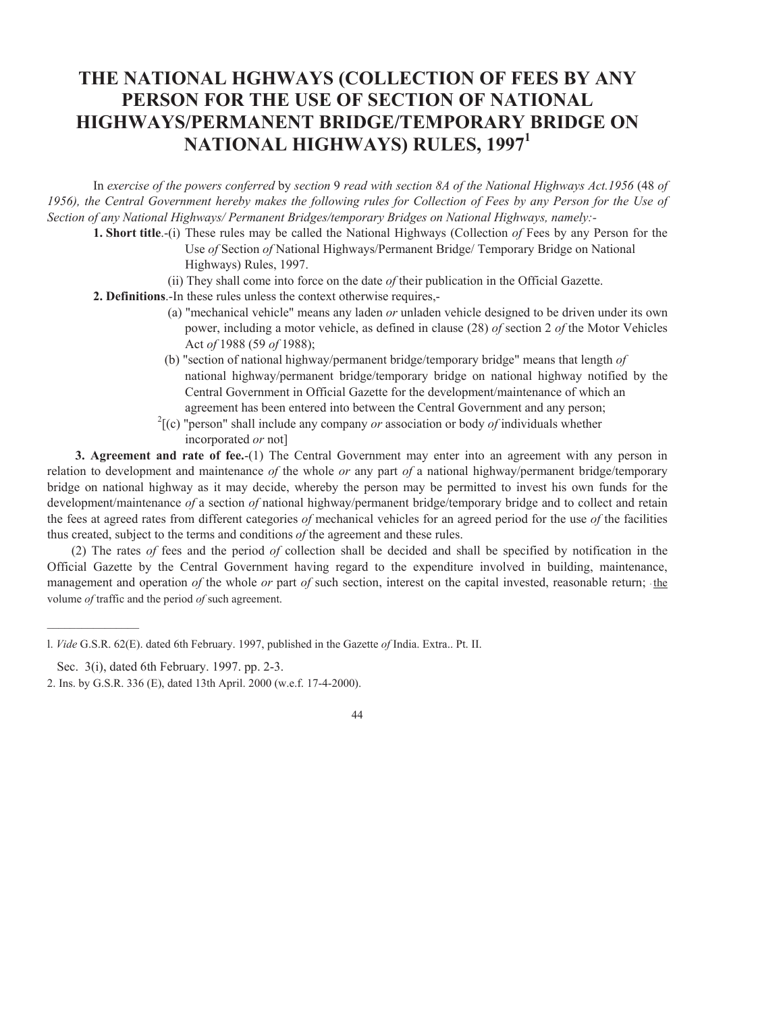# **THE NATIONAL HGHWAYS (COLLECTION OF FEES BY ANY PERSON FOR THE USE OF SECTION OF NATIONAL HIGHWAYS/PERMANENT BRIDGE/TEMPORARY BRIDGE ON NATIONAL HIGHWAYS) RULES, 1997<sup>1</sup>**

 In *exercise of the powers conferred* by *section* 9 *read with section 8A of the National Highways Act.1956* (48 *of 1956), the Central Government hereby makes the following rules for Collection of Fees by any Person for the Use of Section of any National Highways/ Permanent Bridges/temporary Bridges on National Highways, namely:-* 

- **1. Short title**.-(i) These rules may be called the National Highways (Collection *of* Fees by any Person for the Use *of* Section *of* National Highways/Permanent Bridge/ Temporary Bridge on National Highways) Rules, 1997.
	- (ii) They shall come into force on the date *of* their publication in the Official Gazette.
- **2. Definitions**.-In these rules unless the context otherwise requires,-
	- (a) "mechanical vehicle" means any laden *or* unladen vehicle designed to be driven under its own power, including a motor vehicle, as defined in clause (28) *of* section 2 *of* the Motor Vehicles Act *of* 1988 (59 *of* 1988);
	- (b) "section of national highway/permanent bridge/temporary bridge" means that length *of* national highway/permanent bridge/temporary bridge on national highway notified by the Central Government in Official Gazette for the development/maintenance of which an agreement has been entered into between the Central Government and any person;
	- <sup>2</sup>[(c) "person" shall include any company *or* association or body *of* individuals whether incorporated *or* not]

**3. Agreement and rate of fee.**-(1) The Central Government may enter into an agreement with any person in relation to development and maintenance *of* the whole *or* any part *of* a national highway/permanent bridge/temporary bridge on national highway as it may decide, whereby the person may be permitted to invest his own funds for the development/maintenance *of* a section *of* national highway/permanent bridge/temporary bridge and to collect and retain the fees at agreed rates from different categories *of* mechanical vehicles for an agreed period for the use *of* the facilities thus created, subject to the terms and conditions *of* the agreement and these rules.

(2) The rates *of* fees and the period *of* collection shall be decided and shall be specified by notification in the Official Gazette by the Central Government having regard to the expenditure involved in building, maintenance, management and operation *of* the whole *or* part *of* such section, interest on the capital invested, reasonable return; the volume *of* traffic and the period *of* such agreement.

 $\frac{1}{2}$ 

<sup>2.</sup> Ins. by G.S.R. 336 (E), dated 13th April. 2000 (w.e.f. 17-4-2000).



l. *Vide* G.S.R. 62(E). dated 6th February. 1997, published in the Gazette *of* India. Extra.. Pt. II.

Sec. 3(i), dated 6th February. 1997. pp. 2-3.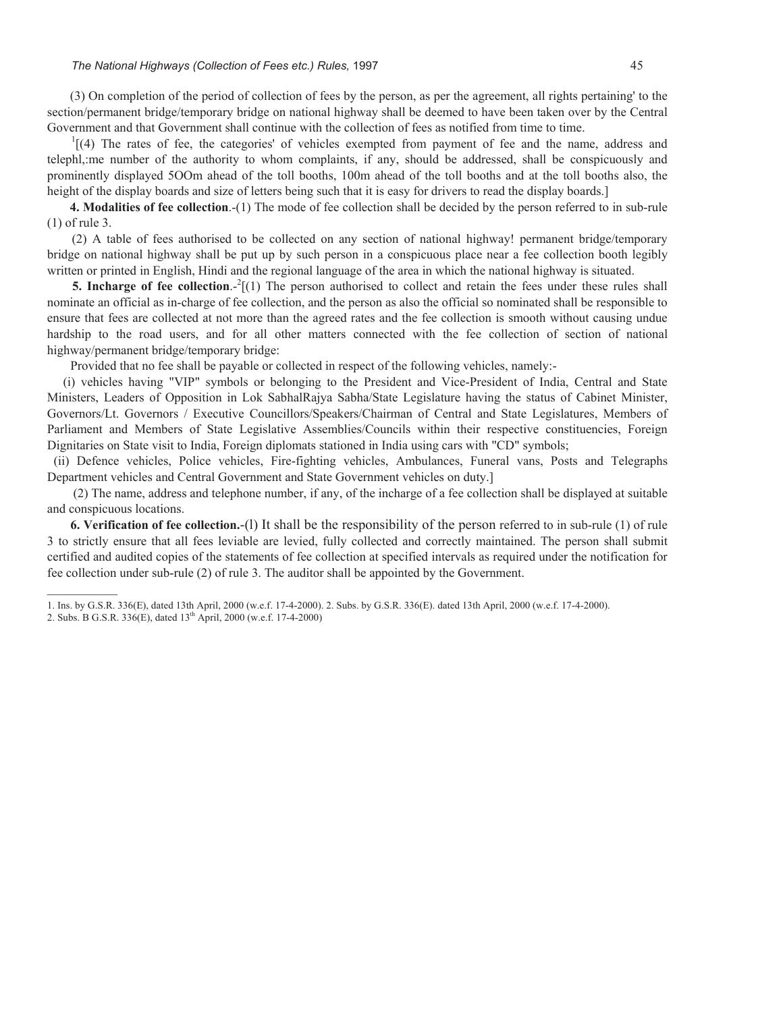#### *The National Highways (Collection of Fees etc.) Rules, 1997* 45

(3) On completion of the period of collection of fees by the person, as per the agreement, all rights pertaining' to the section/permanent bridge/temporary bridge on national highway shall be deemed to have been taken over by the Central Government and that Government shall continue with the collection of fees as notified from time to time.

 $1[(4)$  The rates of fee, the categories' of vehicles exempted from payment of fee and the name, address and telephl,:me number of the authority to whom complaints, if any, should be addressed, shall be conspicuously and prominently displayed 5OOm ahead of the toll booths, 100m ahead of the toll booths and at the toll booths also, the height of the display boards and size of letters being such that it is easy for drivers to read the display boards.]

**4. Modalities of fee collection**.-(1) The mode of fee collection shall be decided by the person referred to in sub-rule (1) of rule 3.

(2) A table of fees authorised to be collected on any section of national highway! permanent bridge/temporary bridge on national highway shall be put up by such person in a conspicuous place near a fee collection booth legibly written or printed in English, Hindi and the regional language of the area in which the national highway is situated.

**5. Incharge of fee collection.**  $2[(1)$  The person authorised to collect and retain the fees under these rules shall nominate an official as in-charge of fee collection, and the person as also the official so nominated shall be responsible to ensure that fees are collected at not more than the agreed rates and the fee collection is smooth without causing undue hardship to the road users, and for all other matters connected with the fee collection of section of national highway/permanent bridge/temporary bridge:

Provided that no fee shall be payable or collected in respect of the following vehicles, namely:-

 (i) vehicles having "VIP" symbols or belonging to the President and Vice-President of India, Central and State Ministers, Leaders of Opposition in Lok SabhalRajya Sabha/State Legislature having the status of Cabinet Minister, Governors/Lt. Governors / Executive Councillors/Speakers/Chairman of Central and State Legislatures, Members of Parliament and Members of State Legislative Assemblies/Councils within their respective constituencies, Foreign Dignitaries on State visit to India, Foreign diplomats stationed in India using cars with "CD" symbols;

 (ii) Defence vehicles, Police vehicles, Fire-fighting vehicles, Ambulances, Funeral vans, Posts and Telegraphs Department vehicles and Central Government and State Government vehicles on duty.]

 (2) The name, address and telephone number, if any, of the incharge of a fee collection shall be displayed at suitable and conspicuous locations.

**6. Verification of fee collection.**-(l) It shall be the responsibility of the person referred to in sub-rule (1) of rule 3 to strictly ensure that all fees leviable are levied, fully collected and correctly maintained. The person shall submit certified and audited copies of the statements of fee collection at specified intervals as required under the notification for fee collection under sub-rule (2) of rule 3. The auditor shall be appointed by the Government.

<sup>1.</sup> Ins. by G.S.R. 336(E), dated 13th April, 2000 (w.e.f. 17-4-2000). 2. Subs. by G.S.R. 336(E). dated 13th April, 2000 (w.e.f. 17-4-2000).

<sup>2.</sup> Subs. B G.S.R. 336(E), dated 13th April, 2000 (w.e.f. 17-4-2000)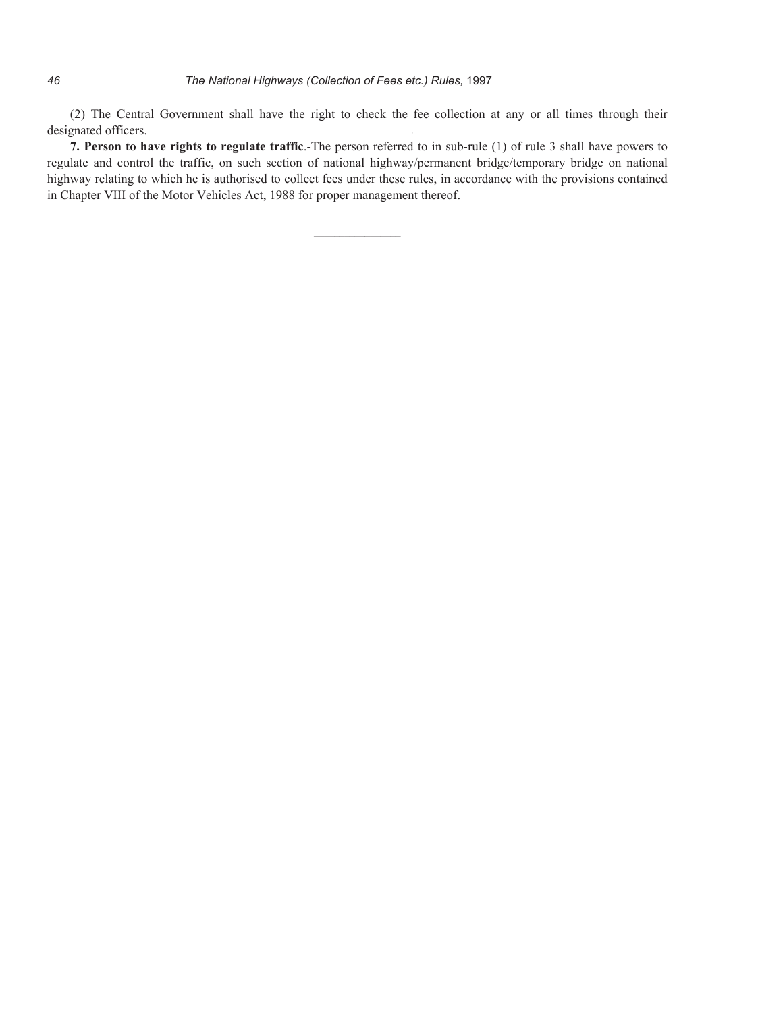(2) The Central Government shall have the right to check the fee collection at any or all times through their designated officers.

**7. Person to have rights to regulate traffic**.-The person referred to in sub-rule (1) of rule 3 shall have powers to regulate and control the traffic, on such section of national highway/permanent bridge/temporary bridge on national highway relating to which he is authorised to collect fees under these rules, in accordance with the provisions contained in Chapter VIII of the Motor Vehicles Act, 1988 for proper management thereof.

 $\overline{\phantom{a}}$  ,  $\overline{\phantom{a}}$  ,  $\overline{\phantom{a}}$  ,  $\overline{\phantom{a}}$  ,  $\overline{\phantom{a}}$  ,  $\overline{\phantom{a}}$  ,  $\overline{\phantom{a}}$  ,  $\overline{\phantom{a}}$  ,  $\overline{\phantom{a}}$  ,  $\overline{\phantom{a}}$  ,  $\overline{\phantom{a}}$  ,  $\overline{\phantom{a}}$  ,  $\overline{\phantom{a}}$  ,  $\overline{\phantom{a}}$  ,  $\overline{\phantom{a}}$  ,  $\overline{\phantom{a}}$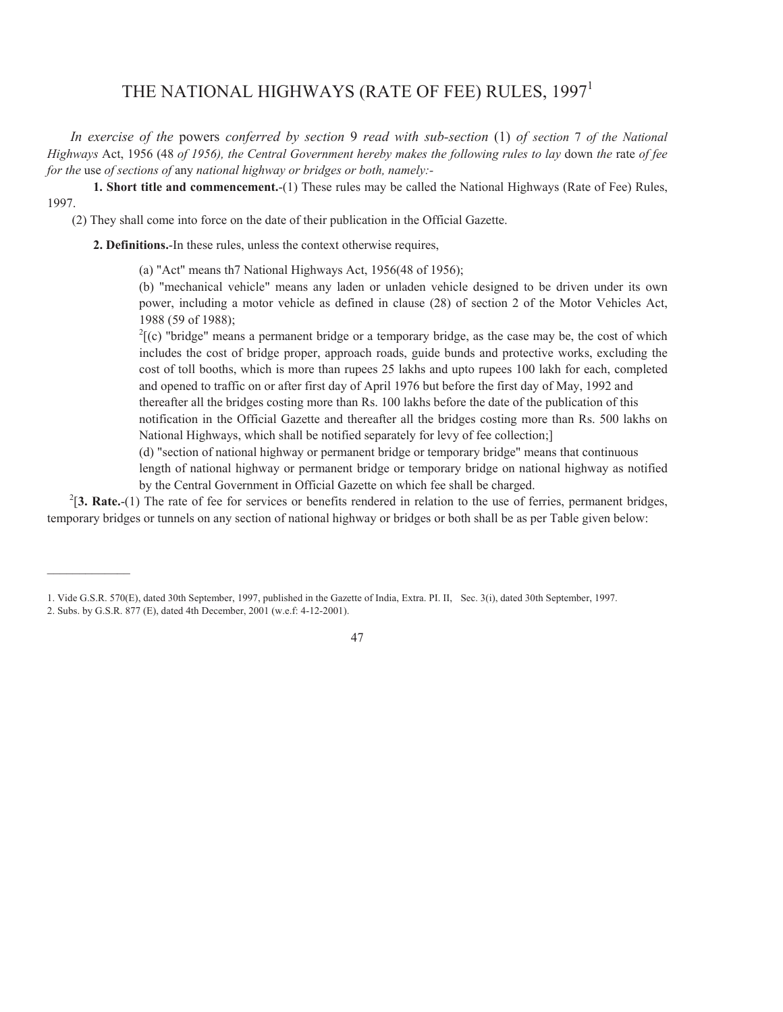# THE NATIONAL HIGHWAYS (RATE OF FEE) RULES, 1997<sup>1</sup>

*In exercise of the* powers *conferred by section* 9 *read with sub-section* (1) *of section* 7 *of the National Highways* Act, 1956 (48 *of 1956), the Central Government hereby makes the following rules to lay* down *the* rate *of fee for the* use *of sections of* any *national highway or bridges or both, namely:-*

**1. Short title and commencement.**-(1) These rules may be called the National Highways (Rate of Fee) Rules, 1997.

(2) They shall come into force on the date of their publication in the Official Gazette.

**2. Definitions.**-In these rules, unless the context otherwise requires,

 $\mathcal{L}=\mathcal{L}$ 

(a) "Act" means th7 National Highways Act, 1956(48 of 1956);

(b) "mechanical vehicle" means any laden or unladen vehicle designed to be driven under its own power, including a motor vehicle as defined in clause (28) of section 2 of the Motor Vehicles Act, 1988 (59 of 1988);

 $2\zeta(c)$  "bridge" means a permanent bridge or a temporary bridge, as the case may be, the cost of which includes the cost of bridge proper, approach roads, guide bunds and protective works, excluding the cost of toll booths, which is more than rupees 25 lakhs and upto rupees 100 lakh for each, completed and opened to traffic on or after first day of April 1976 but before the first day of May, 1992 and thereafter all the bridges costing more than Rs. 100 lakhs before the date of the publication of this notification in the Official Gazette and thereafter all the bridges costing more than Rs. 500 lakhs on National Highways, which shall be notified separately for levy of fee collection;]

 (d) "section of national highway or permanent bridge or temporary bridge" means that continuous length of national highway or permanent bridge or temporary bridge on national highway as notified by the Central Government in Official Gazette on which fee shall be charged.

 $2^{2}$ [3. Rate.-(1) The rate of fee for services or benefits rendered in relation to the use of ferries, permanent bridges, temporary bridges or tunnels on any section of national highway or bridges or both shall be as per Table given below:

<sup>1.</sup> Vide G.S.R. 570(E), dated 30th September, 1997, published in the Gazette of India, Extra. PI. II, Sec. 3(i), dated 30th September, 1997. 2. Subs. by G.S.R. 877 (E), dated 4th December, 2001 (w.e.f: 4-12-2001).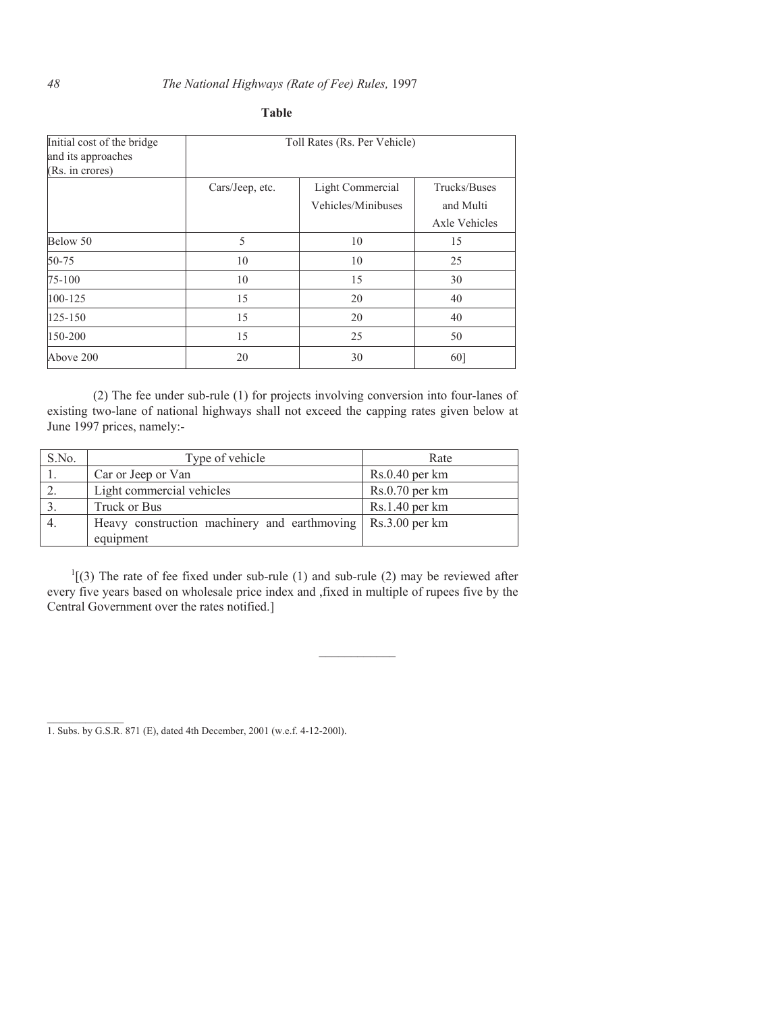### *48 The National Highways (Rate of Fee) Rules,* 1997

| Initial cost of the bridge<br>and its approaches<br>(Rs. in crores) | Toll Rates (Rs. Per Vehicle) |                    |               |
|---------------------------------------------------------------------|------------------------------|--------------------|---------------|
|                                                                     | Cars/Jeep, etc.              | Light Commercial   | Trucks/Buses  |
|                                                                     |                              | Vehicles/Minibuses | and Multi     |
|                                                                     |                              |                    | Axle Vehicles |
| Below 50                                                            | 5                            | 10                 | 15            |
| 50-75                                                               | 10                           | 10                 | 25            |
| 75-100                                                              | 10                           | 15                 | 30            |
| 100-125                                                             | 15                           | 20                 | 40            |
| 125-150                                                             | 15                           | 20                 | 40            |
| 150-200                                                             | 15                           | 25                 | 50            |
| Above 200                                                           | 20                           | 30                 | 60]           |

## **Table**

(2) The fee under sub-rule (1) for projects involving conversion into four-lanes of. existing two-lane of national highways shall not exceed the capping rates given below at June 1997 prices, namely:-

| S.No. | Type of vehicle                                           | Rate                                |
|-------|-----------------------------------------------------------|-------------------------------------|
|       | Car or Jeep or Van                                        | $Rs.0.40$ per km                    |
| 2.    | Light commercial vehicles                                 | $Rs.0.70$ per km                    |
|       | Truck or Bus                                              | $Rs.1.40$ per km                    |
| 4.    | Heavy construction machinery and earthmoving<br>equipment | $\overline{\text{Rs}}$ .3.00 per km |

 $<sup>1</sup>$ [(3) The rate of fee fixed under sub-rule (1) and sub-rule (2) may be reviewed after</sup> every five years based on wholesale price index and ,fixed in multiple of rupees five by the Central Government over the rates notified.]

 $\mathcal{L}=\mathcal{L}^{\mathcal{L}}$ 

<sup>1.</sup> Subs. by G.S.R. 871 (E), dated 4th December, 2001 (w.e.f. 4-12-200l).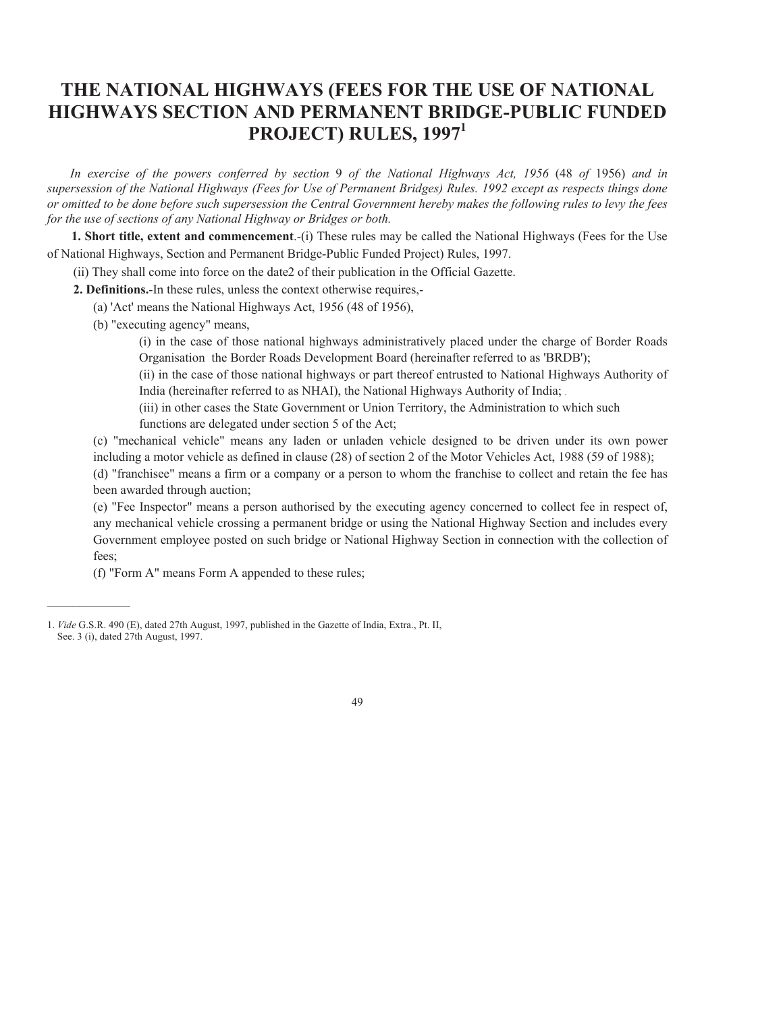# **THE NATIONAL HIGHWAYS (FEES FOR THE USE OF NATIONAL HIGHWAYS SECTION AND PERMANENT BRIDGE-PUBLIC FUNDED PROJECT) RULES, 1997<sup>1</sup>**

*In exercise of the powers conferred by section* 9 *of the National Highways Act, 1956* (48 *of* 1956) *and in supersession of the National Highways (Fees for Use of Permanent Bridges) Rules. 1992 except as respects things done or omitted to be done before such supersession the Central Government hereby makes the following rules to levy the fees for the use of sections of any National Highway or Bridges or both.* 

**1. Short title, extent and commencement**.-(i) These rules may be called the National Highways (Fees for the Use of National Highways, Section and Permanent Bridge-Public Funded Project) Rules, 1997.

(ii) They shall come into force on the date2 of their publication in the Official Gazette.

**2. Definitions.**-In these rules, unless the context otherwise requires,-

(a) 'Act' means the National Highways Act, 1956 (48 of 1956),

(b) "executing agency" means,

 (i) in the case of those national highways administratively placed under the charge of Border Roads Organisation the Border Roads Development Board (hereinafter referred to as 'BRDB');

 (ii) in the case of those national highways or part thereof entrusted to National Highways Authority of India (hereinafter referred to as NHAI), the National Highways Authority of India; .

 (iii) in other cases the State Government or Union Territory, the Administration to which such functions are delegated under section 5 of the Act;

 (c) "mechanical vehicle" means any laden or unladen vehicle designed to be driven under its own power including a motor vehicle as defined in clause (28) of section 2 of the Motor Vehicles Act, 1988 (59 of 1988); (d) "franchisee" means a firm or a company or a person to whom the franchise to collect and retain the fee has

been awarded through auction;

 $\mathcal{L}=\mathcal{L}$ 

 (e) "Fee Inspector" means a person authorised by the executing agency concerned to collect fee in respect of, any mechanical vehicle crossing a permanent bridge or using the National Highway Section and includes every Government employee posted on such bridge or National Highway Section in connection with the collection of fees;

(f) "Form A" means Form A appended to these rules;

<sup>1.</sup> *Vide* G.S.R. 490 (E), dated 27th August, 1997, published in the Gazette of India, Extra., Pt. II, See. 3 (i), dated 27th August, 1997.

<sup>49</sup>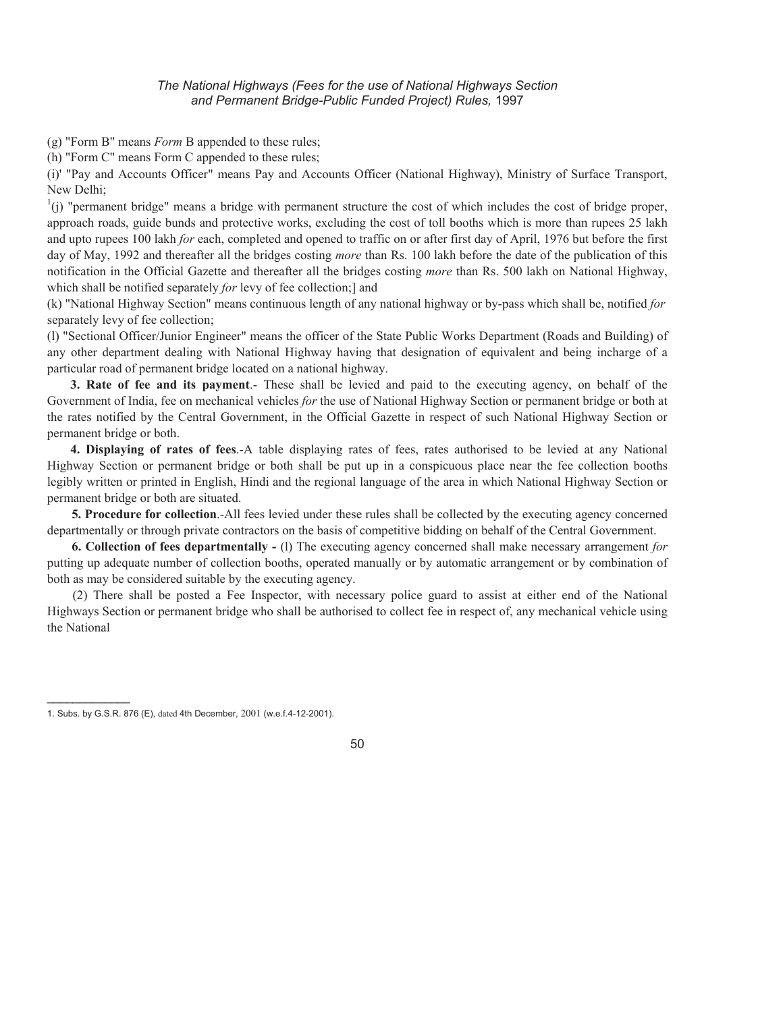(g) "Form B" means *Form* B appended to these rules;

(h) "Form C" means Form C appended to these rules;

(i)' "Pay and Accounts Officer" means Pay and Accounts Officer (National Highway), Ministry of Surface Transport, New Delhi;

 $\binom{1}{1}$ ) "permanent bridge" means a bridge with permanent structure the cost of which includes the cost of bridge proper, approach roads, guide bunds and protective works, excluding the cost of toll booths which is more than rupees 25 lakh and upto rupees 100 lakh *for* each, completed and opened to traffic on or after first day of April, 1976 but before the first day of May, 1992 and thereafter all the bridges costing *more* than Rs. 100 lakh before the date of the publication of this notification in the Official Gazette and thereafter all the bridges costing *more* than Rs. 500 lakh on National Highway, which shall be notified separately *for* levy of fee collection;] and

 (k) "National Highway Section" means continuous length of any national highway or by-pass which shall be, notified *for*  separately levy of fee collection;

 (l) "Sectional Officer/Junior Engineer" means the officer of the State Public Works Department (Roads and Building) of any other department dealing with National Highway having that designation of equivalent and being incharge of a particular road of permanent bridge located on a national highway.

**3. Rate of fee and its payment**.- These shall be levied and paid to the executing agency, on behalf of the Government of India, fee on mechanical vehicles *for* the use of National Highway Section or permanent bridge or both at the rates notified by the Central Government, in the Official Gazette in respect of such National Highway Section or permanent bridge or both.

**4. Displaying of rates of fees**.-A table displaying rates of fees, rates authorised to be levied at any National Highway Section or permanent bridge or both shall be put up in a conspicuous place near the fee collection booths legibly written or printed in English, Hindi and the regional language of the area in which National Highway Section or permanent bridge or both are situated.

**5. Procedure for collection**.-All fees levied under these rules shall be collected by the executing agency concerned departmentally or through private contractors on the basis of competitive bidding on behalf of the Central Government.

**6. Collection of fees departmentally -** (l) The executing agency concerned shall make necessary arrangement *for*  putting up adequate number of collection booths, operated manually or by automatic arrangement or by combination of both as may be considered suitable by the executing agency.

(2) There shall be posted a Fee Inspector, with necessary police guard to assist at either end of the National Highways Section or permanent bridge who shall be authorised to collect fee in respect of, any mechanical vehicle using the National

 $\overline{\phantom{a}}$   $\overline{\phantom{a}}$   $\overline{\phantom{a}}$   $\overline{\phantom{a}}$   $\overline{\phantom{a}}$   $\overline{\phantom{a}}$   $\overline{\phantom{a}}$   $\overline{\phantom{a}}$   $\overline{\phantom{a}}$   $\overline{\phantom{a}}$   $\overline{\phantom{a}}$   $\overline{\phantom{a}}$   $\overline{\phantom{a}}$   $\overline{\phantom{a}}$   $\overline{\phantom{a}}$   $\overline{\phantom{a}}$   $\overline{\phantom{a}}$   $\overline{\phantom{a}}$   $\overline{\$ 



<sup>1.</sup> Subs. by G.S.R. 876 (E), dated 4th December, 2001 (w.e.f.4-12-2001).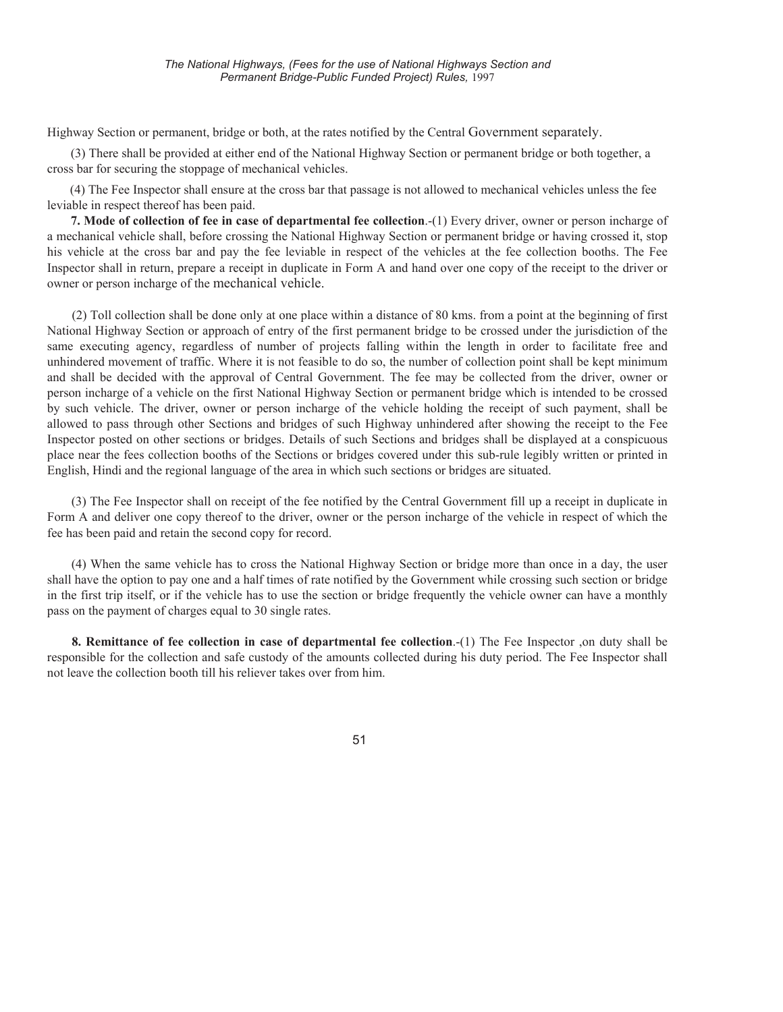Highway Section or permanent, bridge or both, at the rates notified by the Central Government separately.

(3) There shall be provided at either end of the National Highway Section or permanent bridge or both together, a cross bar for securing the stoppage of mechanical vehicles.

(4) The Fee Inspector shall ensure at the cross bar that passage is not allowed to mechanical vehicles unless the fee leviable in respect thereof has been paid.

**7. Mode of collection of fee in case of departmental fee collection**.-(1) Every driver, owner or person incharge of a mechanical vehicle shall, before crossing the National Highway Section or permanent bridge or having crossed it, stop his vehicle at the cross bar and pay the fee leviable in respect of the vehicles at the fee collection booths. The Fee Inspector shall in return, prepare a receipt in duplicate in Form A and hand over one copy of the receipt to the driver or owner or person incharge of the mechanical vehicle.

(2) Toll collection shall be done only at one place within a distance of 80 kms. from a point at the beginning of first National Highway Section or approach of entry of the first permanent bridge to be crossed under the jurisdiction of the same executing agency, regardless of number of projects falling within the length in order to facilitate free and unhindered movement of traffic. Where it is not feasible to do so, the number of collection point shall be kept minimum and shall be decided with the approval of Central Government. The fee may be collected from the driver, owner or person incharge of a vehicle on the first National Highway Section or permanent bridge which is intended to be crossed by such vehicle. The driver, owner or person incharge of the vehicle holding the receipt of such payment, shall be allowed to pass through other Sections and bridges of such Highway unhindered after showing the receipt to the Fee Inspector posted on other sections or bridges. Details of such Sections and bridges shall be displayed at a conspicuous place near the fees collection booths of the Sections or bridges covered under this sub-rule legibly written or printed in English, Hindi and the regional language of the area in which such sections or bridges are situated.

(3) The Fee Inspector shall on receipt of the fee notified by the Central Government fill up a receipt in duplicate in Form A and deliver one copy thereof to the driver, owner or the person incharge of the vehicle in respect of which the fee has been paid and retain the second copy for record.

(4) When the same vehicle has to cross the National Highway Section or bridge more than once in a day, the user shall have the option to pay one and a half times of rate notified by the Government while crossing such section or bridge in the first trip itself, or if the vehicle has to use the section or bridge frequently the vehicle owner can have a monthly pass on the payment of charges equal to 30 single rates.

**8. Remittance of fee collection in case of departmental fee collection**.-(1) The Fee Inspector ,on duty shall be responsible for the collection and safe custody of the amounts collected during his duty period. The Fee Inspector shall not leave the collection booth till his reliever takes over from him.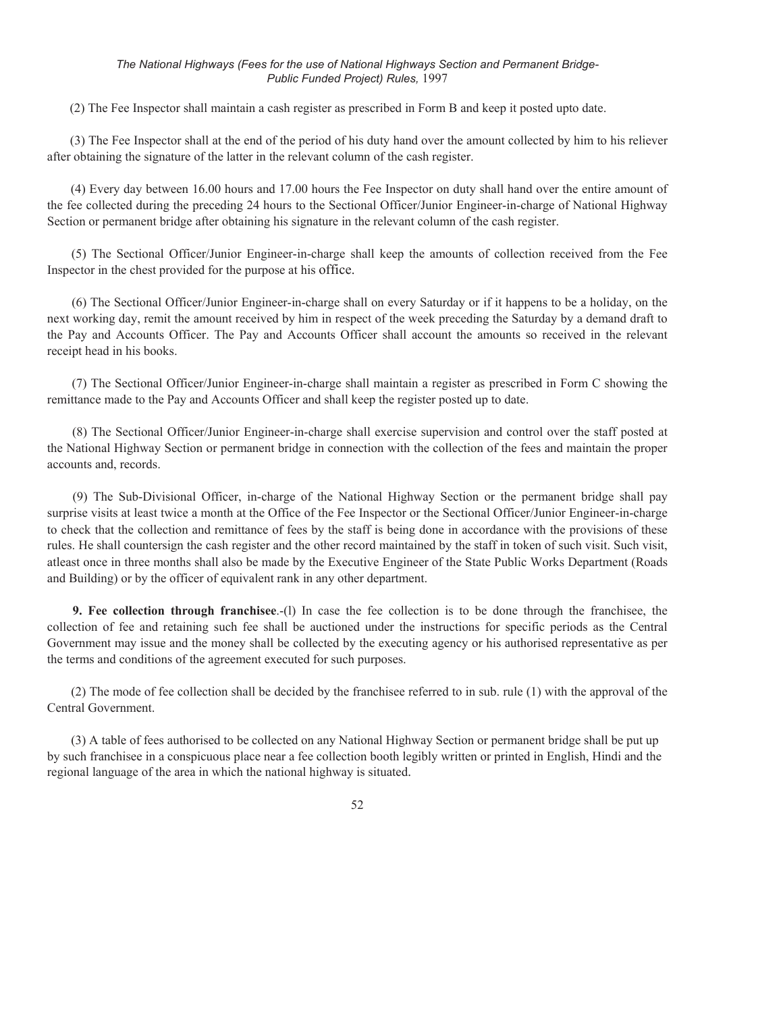(2) The Fee Inspector shall maintain a cash register as prescribed in Form B and keep it posted upto date.

(3) The Fee Inspector shall at the end of the period of his duty hand over the amount collected by him to his reliever after obtaining the signature of the latter in the relevant column of the cash register.

(4) Every day between 16.00 hours and 17.00 hours the Fee Inspector on duty shall hand over the entire amount of the fee collected during the preceding 24 hours to the Sectional Officer/Junior Engineer-in-charge of National Highway Section or permanent bridge after obtaining his signature in the relevant column of the cash register.

(5) The Sectional Officer/Junior Engineer-in-charge shall keep the amounts of collection received from the Fee Inspector in the chest provided for the purpose at his office.

(6) The Sectional Officer/Junior Engineer-in-charge shall on every Saturday or if it happens to be a holiday, on the next working day, remit the amount received by him in respect of the week preceding the Saturday by a demand draft to the Pay and Accounts Officer. The Pay and Accounts Officer shall account the amounts so received in the relevant receipt head in his books.

(7) The Sectional Officer/Junior Engineer-in-charge shall maintain a register as prescribed in Form C showing the remittance made to the Pay and Accounts Officer and shall keep the register posted up to date.

(8) The Sectional Officer/Junior Engineer-in-charge shall exercise supervision and control over the staff posted at the National Highway Section or permanent bridge in connection with the collection of the fees and maintain the proper accounts and, records.

(9) The Sub-Divisional Officer, in-charge of the National Highway Section or the permanent bridge shall pay surprise visits at least twice a month at the Office of the Fee Inspector or the Sectional Officer/Junior Engineer-in-charge to check that the collection and remittance of fees by the staff is being done in accordance with the provisions of these rules. He shall countersign the cash register and the other record maintained by the staff in token of such visit. Such visit, atleast once in three months shall also be made by the Executive Engineer of the State Public Works Department (Roads and Building) or by the officer of equivalent rank in any other department.

**9. Fee collection through franchisee**.-(l) In case the fee collection is to be done through the franchisee, the collection of fee and retaining such fee shall be auctioned under the instructions for specific periods as the Central Government may issue and the money shall be collected by the executing agency or his authorised representative as per the terms and conditions of the agreement executed for such purposes.

(2) The mode of fee collection shall be decided by the franchisee referred to in sub. rule (1) with the approval of the Central Government.

(3) A table of fees authorised to be collected on any National Highway Section or permanent bridge shall be put up by such franchisee in a conspicuous place near a fee collection booth legibly written or printed in English, Hindi and the regional language of the area in which the national highway is situated.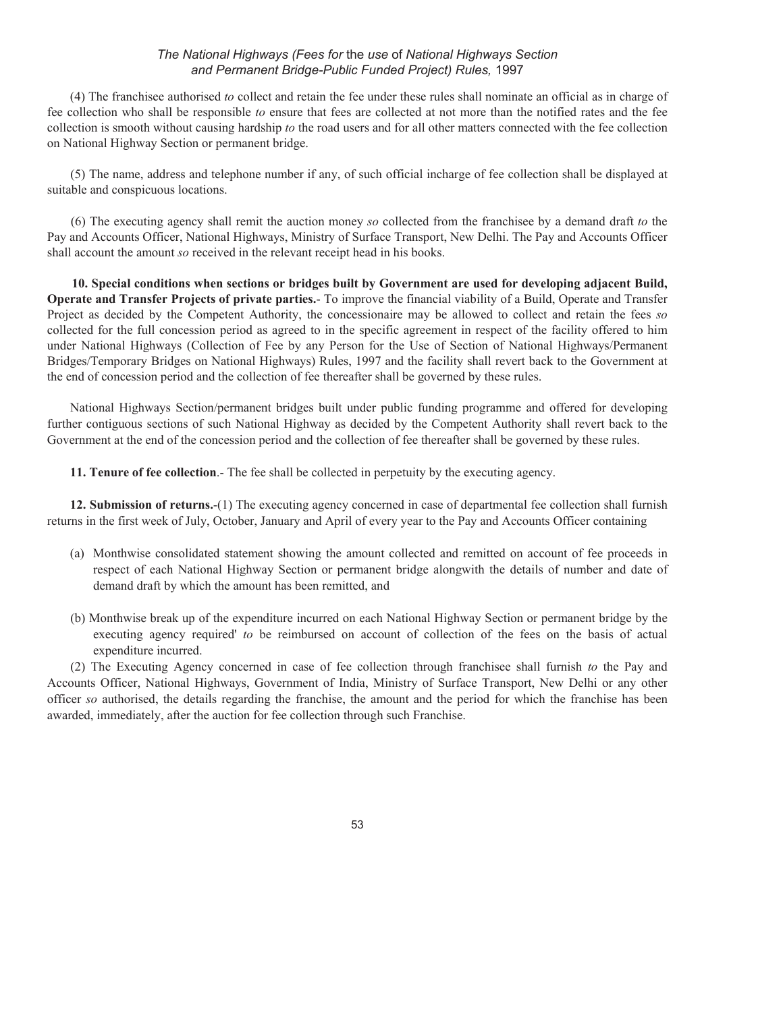(4) The franchisee authorised *to* collect and retain the fee under these rules shall nominate an official as in charge of fee collection who shall be responsible *to* ensure that fees are collected at not more than the notified rates and the fee collection is smooth without causing hardship *to* the road users and for all other matters connected with the fee collection on National Highway Section or permanent bridge.

(5) The name, address and telephone number if any, of such official incharge of fee collection shall be displayed at suitable and conspicuous locations.

(6) The executing agency shall remit the auction money *so* collected from the franchisee by a demand draft *to* the Pay and Accounts Officer, National Highways, Ministry of Surface Transport, New Delhi. The Pay and Accounts Officer shall account the amount *so* received in the relevant receipt head in his books.

**10. Special conditions when sections or bridges built by Government are used for developing adjacent Build, Operate and Transfer Projects of private parties.**- To improve the financial viability of a Build, Operate and Transfer Project as decided by the Competent Authority, the concessionaire may be allowed to collect and retain the fees *so*  collected for the full concession period as agreed to in the specific agreement in respect of the facility offered to him under National Highways (Collection of Fee by any Person for the Use of Section of National Highways/Permanent Bridges/Temporary Bridges on National Highways) Rules, 1997 and the facility shall revert back to the Government at the end of concession period and the collection of fee thereafter shall be governed by these rules.

National Highways Section/permanent bridges built under public funding programme and offered for developing further contiguous sections of such National Highway as decided by the Competent Authority shall revert back to the Government at the end of the concession period and the collection of fee thereafter shall be governed by these rules.

**11. Tenure of fee collection**.- The fee shall be collected in perpetuity by the executing agency.

**12. Submission of returns.**-(1) The executing agency concerned in case of departmental fee collection shall furnish returns in the first week of July, October, January and April of every year to the Pay and Accounts Officer containing

- (a) Monthwise consolidated statement showing the amount collected and remitted on account of fee proceeds in respect of each National Highway Section or permanent bridge alongwith the details of number and date of demand draft by which the amount has been remitted, and
- (b) Monthwise break up of the expenditure incurred on each National Highway Section or permanent bridge by the executing agency required' *to* be reimbursed on account of collection of the fees on the basis of actual expenditure incurred.

(2) The Executing Agency concerned in case of fee collection through franchisee shall furnish *to* the Pay and Accounts Officer, National Highways, Government of India, Ministry of Surface Transport, New Delhi or any other officer *so* authorised, the details regarding the franchise, the amount and the period for which the franchise has been awarded, immediately, after the auction for fee collection through such Franchise.